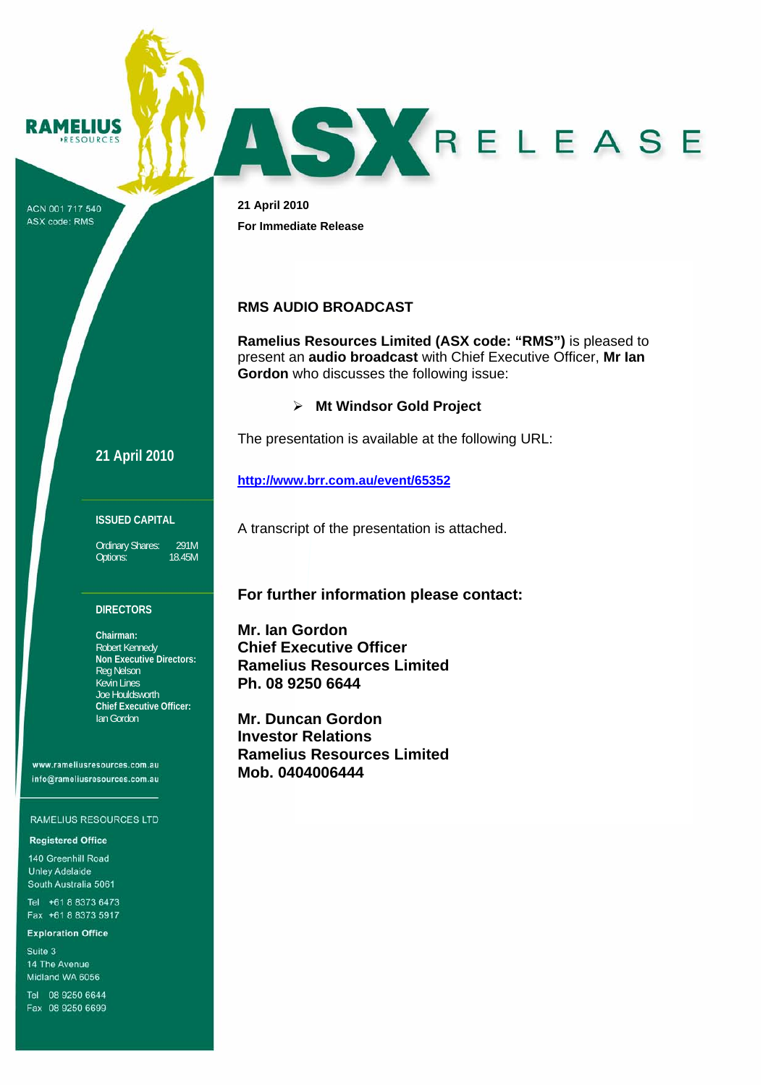

ACN 001 717 540 ASX code: RMS

**21 April 2010 For Immediate Release** 

# **RMS AUDIO BROADCAST**

**Ramelius Resources Limited (ASX code: "RMS")** is pleased to present an **audio broadcast** with Chief Executive Officer, **Mr Ian Gordon** who discusses the following issue:

ASYRELEASE

¾ **Mt Windsor Gold Project** 

The presentation is available at the following URL:

# **http://www.brr.com.au/event/65352**

**ISSUED CAPITAL** 

**21 April 2010**

Ordinary Shares: 291M<br>Options: 18.45M Options:

#### **DIRECTORS**

**Chairman:**  Robert Kennedy **Non Executive Directors:**  Reg Nelson Kevin Lines Joe Houldsworth **Chief Executive Officer:**  Ian Gordon

www.rameliusresources.com.au info@rameliusresources.com.au

#### RAMELIUS RESOURCES LTD

#### **Registered Office**

140 Greenhill Road **Unley Adelaide** South Australia 5061

Tel +61 8 8373 6473 Fax +61 8 8373 5917

#### **Exploration Office**

Suite 3 14 The Avenue Midland WA 6056

Tel 08 9250 6644 Fax 08 9250 6699

**For further information please contact:** 

A transcript of the presentation is attached.

**Mr. Ian Gordon Chief Executive Officer Ramelius Resources Limited Ph. 08 9250 6644** 

**Mr. Duncan Gordon Investor Relations Ramelius Resources Limited Mob. 0404006444**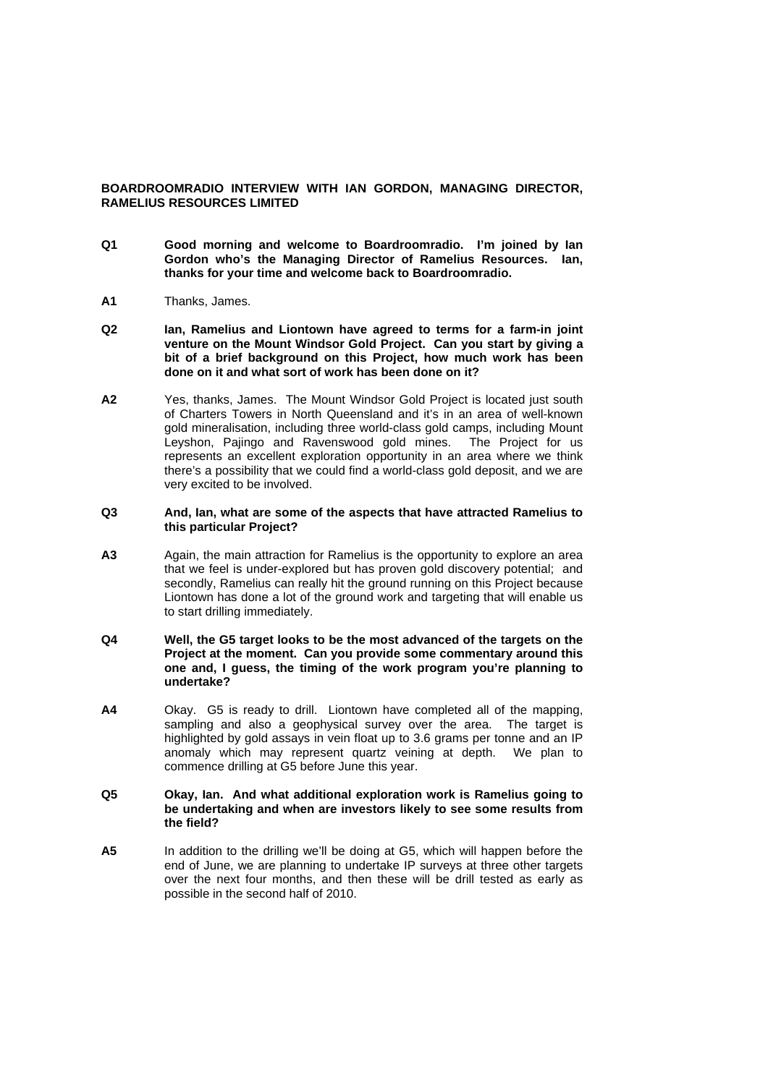## **BOARDROOMRADIO INTERVIEW WITH IAN GORDON, MANAGING DIRECTOR, RAMELIUS RESOURCES LIMITED**

- **Q1 Good morning and welcome to Boardroomradio. I'm joined by Ian Gordon who's the Managing Director of Ramelius Resources. Ian, thanks for your time and welcome back to Boardroomradio.**
- **A1** Thanks, James.
- **Q2 Ian, Ramelius and Liontown have agreed to terms for a farm-in joint venture on the Mount Windsor Gold Project. Can you start by giving a bit of a brief background on this Project, how much work has been done on it and what sort of work has been done on it?**
- **A2** Yes, thanks, James. The Mount Windsor Gold Project is located just south of Charters Towers in North Queensland and it's in an area of well-known gold mineralisation, including three world-class gold camps, including Mount Leyshon, Pajingo and Ravenswood gold mines. The Project for us represents an excellent exploration opportunity in an area where we think there's a possibility that we could find a world-class gold deposit, and we are very excited to be involved.

### **Q3 And, Ian, what are some of the aspects that have attracted Ramelius to this particular Project?**

**A3** Again, the main attraction for Ramelius is the opportunity to explore an area that we feel is under-explored but has proven gold discovery potential; and secondly, Ramelius can really hit the ground running on this Project because Liontown has done a lot of the ground work and targeting that will enable us to start drilling immediately.

### **Q4 Well, the G5 target looks to be the most advanced of the targets on the Project at the moment. Can you provide some commentary around this one and, I guess, the timing of the work program you're planning to undertake?**

**A4** Okay. G5 is ready to drill. Liontown have completed all of the mapping, sampling and also a geophysical survey over the area. The target is highlighted by gold assays in vein float up to 3.6 grams per tonne and an IP anomaly which may represent quartz veining at depth. We plan to commence drilling at G5 before June this year.

### **Q5 Okay, Ian. And what additional exploration work is Ramelius going to be undertaking and when are investors likely to see some results from the field?**

**A5** In addition to the drilling we'll be doing at G5, which will happen before the end of June, we are planning to undertake IP surveys at three other targets over the next four months, and then these will be drill tested as early as possible in the second half of 2010.